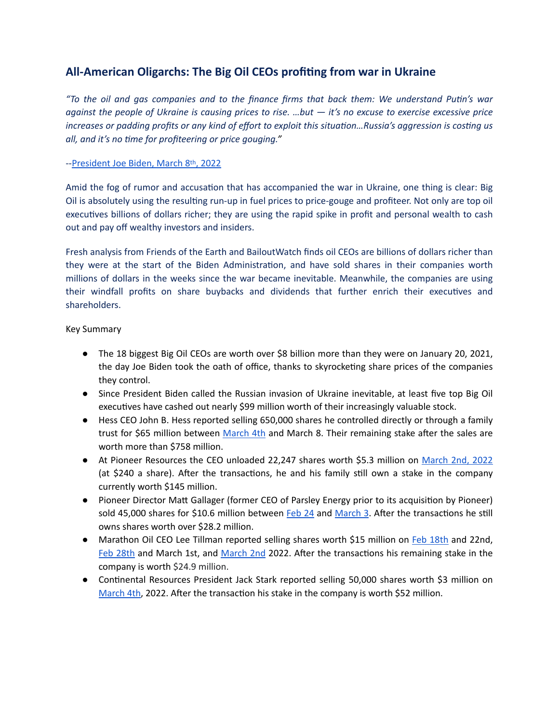## **All-American Oligarchs: The Big Oil CEOs profiting from war in Ukraine**

"To the oil and gas companies and to the finance firms that back them: We understand Putin's war *against the people of Ukraine is causing prices to rise. …but — it's no excuse to exercise excessive price increases or padding profits or any kind of effort to exploit this situation...Russia's aggression is costing us all, and it's no time for profiteering or price gouging."* 

## --[President Joe Biden, March 8th, 2022](https://www.whitehouse.gov/briefing-room/speeches-remarks/2022/03/08/remarks-by-president-biden-announcing-u-s-ban-on-imports-of-russian-oil-liquefied-natural-gas-and-coal/)

Amid the fog of rumor and accusation that has accompanied the war in Ukraine, one thing is clear: Big Oil is absolutely using the resulting run-up in fuel prices to price-gouge and profiteer. Not only are top oil executives billions of dollars richer; they are using the rapid spike in profit and personal wealth to cash out and pay off wealthy investors and insiders.

Fresh analysis from Friends of the Earth and BailoutWatch finds oil CEOs are billions of dollars richer than they were at the start of the Biden Administration, and have sold shares in their companies worth millions of dollars in the weeks since the war became inevitable. Meanwhile, the companies are using their windfall profits on share buybacks and dividends that further enrich their executives and shareholders.

## Key Summary

- The 18 biggest Big Oil CEOs are worth over \$8 billion more than they were on January 20, 2021, the day Joe Biden took the oath of office, thanks to skyrocketing share prices of the companies they control.
- Since President Biden called the Russian invasion of Ukraine inevitable, at least five top Big Oil executives have cashed out nearly \$99 million worth of their increasingly valuable stock.
- Hess CEO John B. Hess reported selling 650,000 shares he controlled directly or through a family trust for \$65 million between [March 4th](https://www.sec.gov/Archives/edgar/data/4447/000120919122017412/xslF345X03/doc4.xml) and March 8. Their remaining stake after the sales are worth more than \$758 million.
- At Pioneer Resources the CEO unloaded 22,247 shares worth \$5.3 million on [March 2nd, 2022](https://www.bamsec.com/filing/103835722000048/1?cik=1038357) (at \$240 a share). After the transactions, he and his family still own a stake in the company currently worth \$145 million.
- Pioneer Director Matt Gallager (former CEO of Parsley Energy prior to its acquisition by Pioneer) sold 45,000 shares for \$10.6 million between [Feb 24](https://www.bamsec.com/filing/103835722000042/1?cik=1038357) and [March 3](https://www.bamsec.com/filing/103835722000047/1?cik=1038357). After the transactions he still owns shares worth over \$28.2 million.
- Marathon Oil CEO Lee Tillman reported selling shares worth \$15 million on [Feb 18th](https://www.bamsec.com/filing/10177822000024/1?cik=101778) and 22nd, [Feb 28th](https://www.bamsec.com/filing/10177822000066/1?cik=101778) and March 1st, and [March 2nd](https://www.bamsec.com/filing/10177822000075/1?cik=101778) 2022. After the transactions his remaining stake in the company is worth \$24.9 million.
- Continental Resources President Jack Stark reported selling 50,000 shares worth \$3 million on [March 4th](https://www.bamsec.com/filing/120919122017103/1?cik=732834), 2022. After the transaction his stake in the company is worth \$52 million.